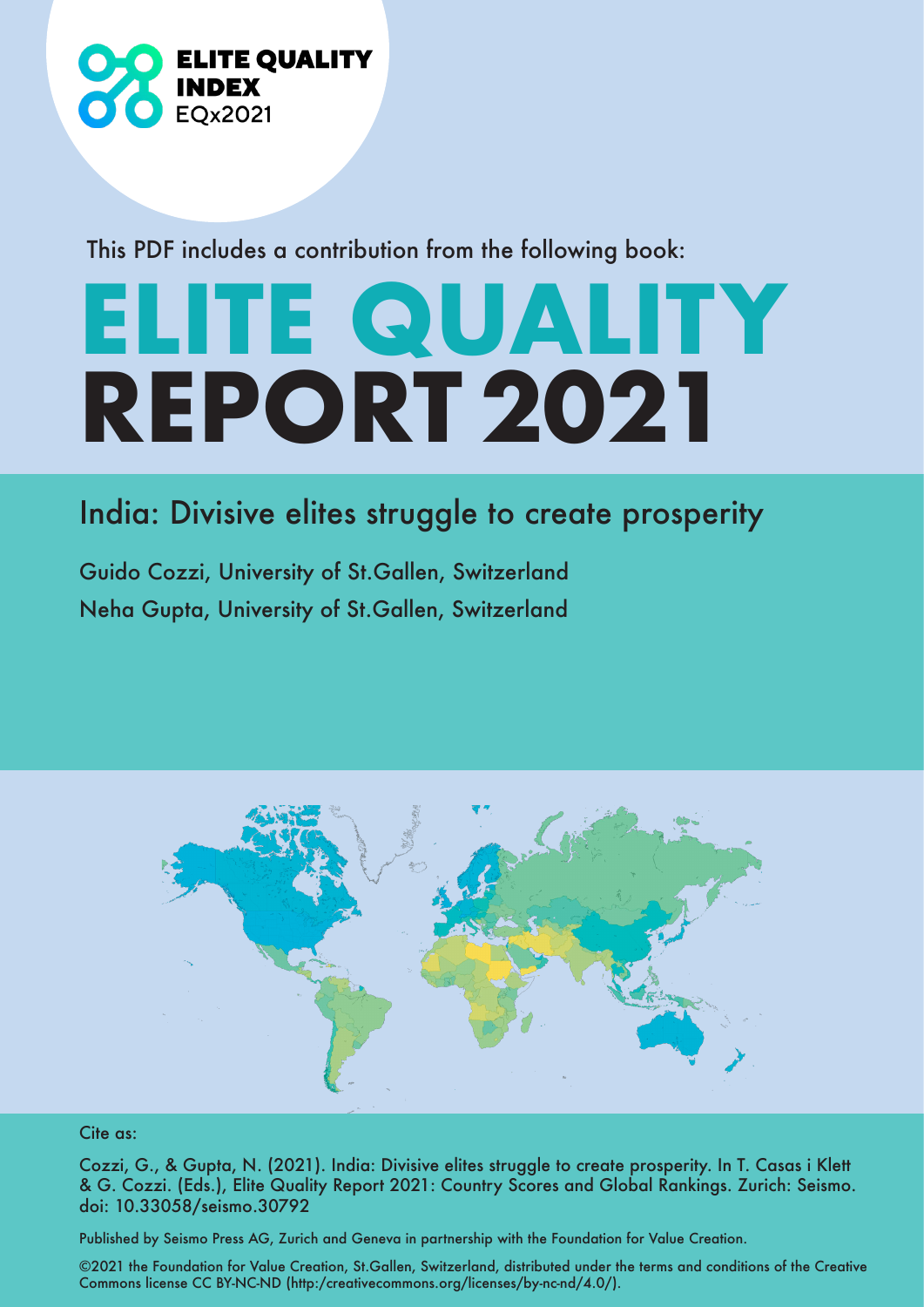

This PDF includes a contribution from the following book:

## **ELITE QUALITY REPORT 2021**

## India: Divisive elites struggle to create prosperity

Guido Cozzi, University of St.Gallen, Switzerland Neha Gupta, University of St.Gallen, Switzerland



## Cite as:

Cozzi, G., & Gupta, N. (2021). India: Divisive elites struggle to create prosperity. In T. Casas i Klett & G. Cozzi. (Eds.), Elite Quality Report 2021: Country Scores and Global Rankings. Zurich: Seismo. doi: 10.33058/seismo.30792

Published by Seismo Press AG, Zurich and Geneva in partnership with the Foundation for Value Creation.

©2021 the Foundation for Value Creation, St.Gallen, Switzerland, distributed under the terms and conditions of the Creative Commons license CC BY-NC-ND (http:/creativecommons.org/licenses/by-nc-nd/4.0/).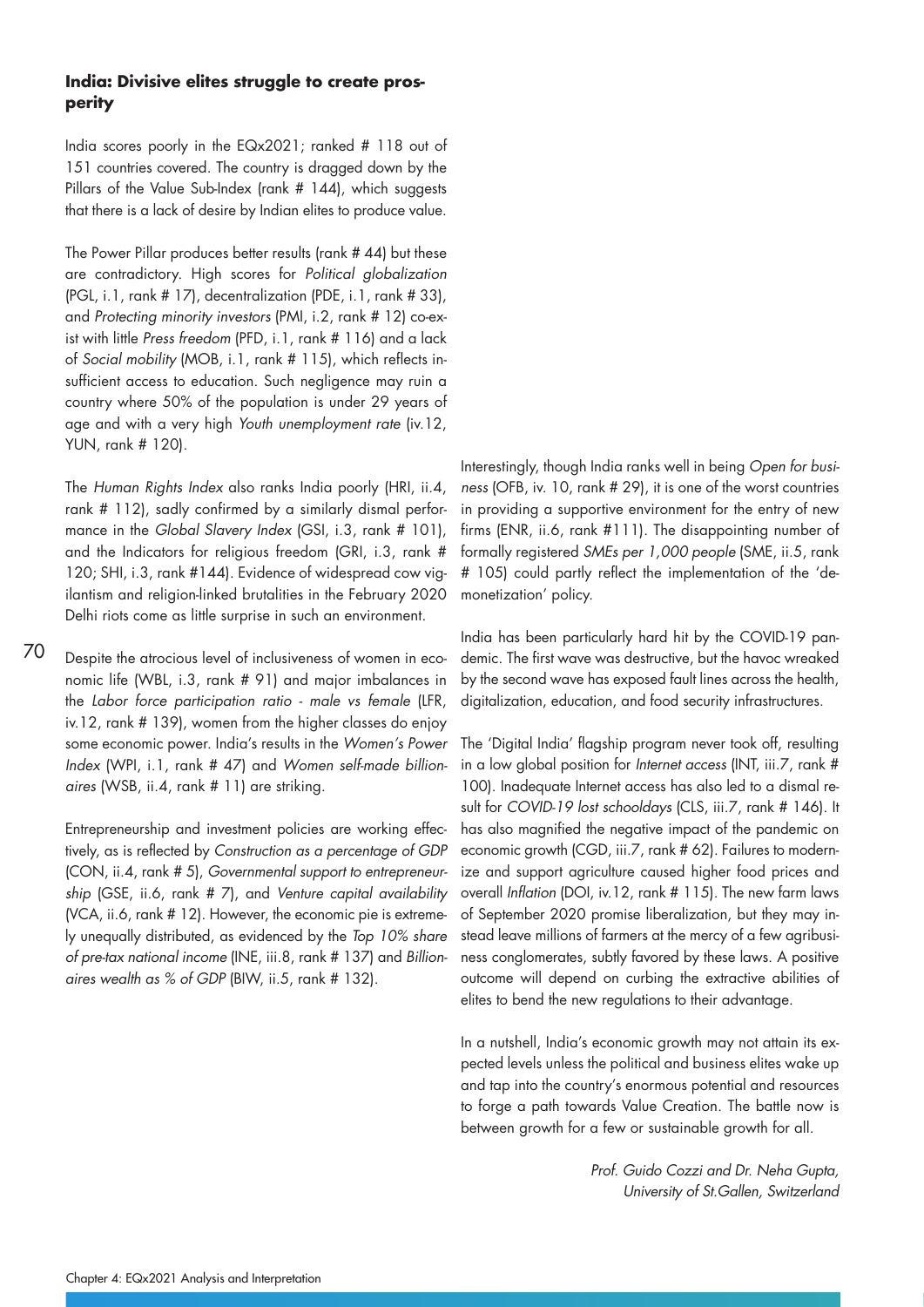## **India: Divisive elites struggle to create prosperity**

India scores poorly in the EQx2021; ranked # 118 out of 151 countries covered. The country is dragged down by the Pillars of the Value Sub-Index (rank # 144), which suggests that there is a lack of desire by Indian elites to produce value.

The Power Pillar produces better results (rank # 44) but these are contradictory. High scores for Political globalization (PGL, i.1, rank # 17), decentralization (PDE, i.1, rank # 33), and Protecting minority investors (PMI, i.2, rank # 12) co-exist with little Press freedom (PFD, i.1, rank # 116) and a lack of Social mobility (MOB, i.1, rank # 115), which reflects insufficient access to education. Such negligence may ruin a country where 50% of the population is under 29 years of age and with a very high Youth unemployment rate (iv.12, YUN, rank # 120).

The Human Rights Index also ranks India poorly (HRI, ii.4, rank # 112), sadly confirmed by a similarly dismal performance in the Global Slavery Index (GSI, i.3, rank # 101), and the Indicators for religious freedom (GRI, i.3, rank # 120; SHI, i.3, rank #144). Evidence of widespread cow vigilantism and religion-linked brutalities in the February 2020 Delhi riots come as little surprise in such an environment.

70 Despite the atrocious level of inclusiveness of women in economic life (WBL, i.3, rank # 91) and major imbalances in the Labor force participation ratio - male vs female (LFR, iv.12, rank # 139), women from the higher classes do enjoy some economic power. India's results in the Women's Power Index (WPI, i.1, rank # 47) and Women self-made billionaires (WSB, ii.4, rank # 11) are striking.

Entrepreneurship and investment policies are working effectively, as is reflected by Construction as a percentage of GDP (CON, ii.4, rank # 5), Governmental support to entrepreneurship (GSE, ii.6, rank # 7), and Venture capital availability (VCA, ii.6, rank # 12). However, the economic pie is extremely unequally distributed, as evidenced by the Top 10% share of pre-tax national income (INE, iii.8, rank # 137) and Billionaires wealth as % of GDP (BIW, ii.5, rank # 132).

Interestingly, though India ranks well in being Open for business (OFB, iv. 10, rank # 29), it is one of the worst countries in providing a supportive environment for the entry of new firms (ENR, ii.6, rank #111). The disappointing number of formally registered SMEs per 1,000 people (SME, ii.5, rank # 105) could partly reflect the implementation of the 'demonetization' policy.

India has been particularly hard hit by the COVID-19 pandemic. The first wave was destructive, but the havoc wreaked by the second wave has exposed fault lines across the health, digitalization, education, and food security infrastructures.

The 'Digital India' flagship program never took off, resulting in a low global position for Internet access (INT, iii.7, rank # 100). Inadequate Internet access has also led to a dismal result for COVID-19 lost schooldays (CLS, iii.7, rank # 146). It has also magnified the negative impact of the pandemic on economic growth (CGD, iii.7, rank # 62). Failures to modernize and support agriculture caused higher food prices and overall Inflation (DOI, iv.12, rank # 115). The new farm laws of September 2020 promise liberalization, but they may instead leave millions of farmers at the mercy of a few agribusiness conglomerates, subtly favored by these laws. A positive outcome will depend on curbing the extractive abilities of elites to bend the new regulations to their advantage.

In a nutshell, India's economic growth may not attain its expected levels unless the political and business elites wake up and tap into the country's enormous potential and resources to forge a path towards Value Creation. The battle now is between growth for a few or sustainable growth for all.

> Prof. Guido Cozzi and Dr. Neha Gupta, University of St.Gallen, Switzerland